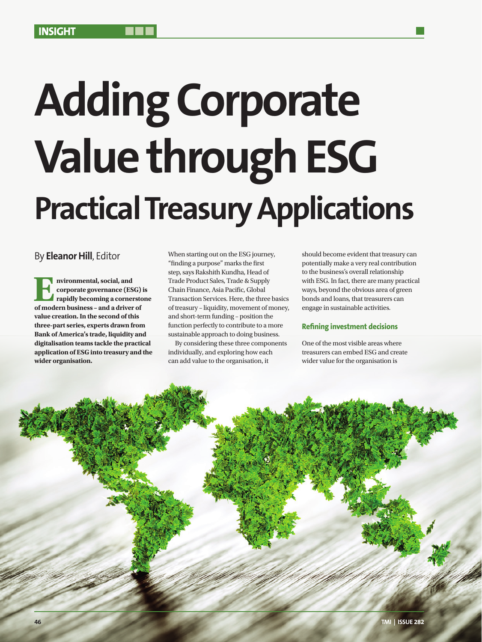# **Adding Corporate Value through ESG Practical Treasury Applications**

By **Eleanor Hill**, Editor

**E different n**<br> **of modern business – and a driver of modern business – and a driver of corporate governance (ESG) is rapidly becoming a cornerstone value creation. In the second of this three-part series, experts drawn from Bank of America's trade, liquidity and digitalisation teams tackle the practical application of ESG into treasury and the wider organisation.**

When starting out on the ESG journey, "finding a purpose" marks the first step, says Rakshith Kundha, Head of Trade Product Sales, Trade & Supply Chain Finance, Asia Pacific, Global Transaction Services. Here, the three basics of treasury – liquidity, movement of money, and short-term funding – position the function perfectly to contribute to a more sustainable approach to doing business.

By considering these three components individually, and exploring how each can add value to the organisation, it

should become evident that treasury can potentially make a very real contribution to the business's overall relationship with ESG. In fact, there are many practical ways, beyond the obvious area of green bonds and loans, that treasurers can engage in sustainable activities.

# **Refining investment decisions**

One of the most visible areas where treasurers can embed ESG and create wider value for the organisation is

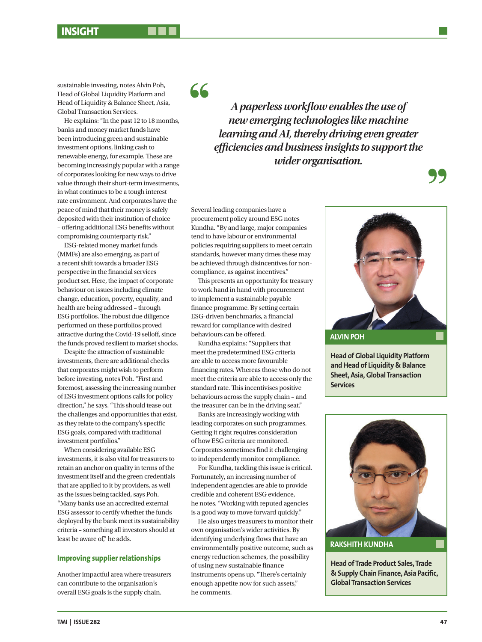sustainable investing, notes Alvin Poh, Head of Global Liquidity Platform and Head of Liquidity & Balance Sheet, Asia, Global Transaction Services.

He explains: "In the past 12 to 18 months, banks and money market funds have been introducing green and sustainable investment options, linking cash to renewable energy, for example. These are becoming increasingly popular with a range of corporates looking for new ways to drive value through their short-term investments, in what continues to be a tough interest rate environment. And corporates have the peace of mind that their money is safely deposited with their institution of choice – offering additional ESG benefits without compromising counterparty risk."

ESG-related money market funds (MMFs) are also emerging, as part of a recent shift towards a broader ESG perspective in the financial services product set. Here, the impact of corporate behaviour on issues including climate change, education, poverty, equality, and health are being addressed – through ESG portfolios. The robust due diligence performed on these portfolios proved attractive during the Covid-19 selloff, since the funds proved resilient to market shocks.

Despite the attraction of sustainable investments, there are additional checks that corporates might wish to perform before investing, notes Poh. "First and foremost, assessing the increasing number of ESG investment options calls for policy direction," he says. "This should tease out the challenges and opportunities that exist, as they relate to the company's specific ESG goals, compared with traditional investment portfolios."

When considering available ESG investments, it is also vital for treasurers to retain an anchor on quality in terms of the investment itself and the green credentials that are applied to it by providers, as well as the issues being tackled, says Poh. "Many banks use an accredited external ESG assessor to certify whether the funds deployed by the bank meet its sustainability criteria – something all investors should at least be aware of," he adds.

### **Improving supplier relationships**

Another impactful area where treasurers can contribute to the organisation's overall ESG goals is the supply chain.

66

*A paperless workflow enables the use of new emerging technologies like machine learning and AI, thereby driving even greater efficiencies and business insights to support the wider organisation.*

Several leading companies have a procurement policy around ESG notes Kundha. "By and large, major companies tend to have labour or environmental policies requiring suppliers to meet certain standards, however many times these may be achieved through disincentives for noncompliance, as against incentives."

This presents an opportunity for treasury to work hand in hand with procurement to implement a sustainable payable finance programme. By setting certain ESG-driven benchmarks, a financial reward for compliance with desired behaviours can be offered.

Kundha explains: "Suppliers that meet the predetermined ESG criteria are able to access more favourable financing rates. Whereas those who do not meet the criteria are able to access only the standard rate. This incentivises positive behaviours across the supply chain – and the treasurer can be in the driving seat."

Banks are increasingly working with leading corporates on such programmes. Getting it right requires consideration of how ESG criteria are monitored. Corporates sometimes find it challenging to independently monitor compliance.

For Kundha, tackling this issue is critical. Fortunately, an increasing number of independent agencies are able to provide credible and coherent ESG evidence, he notes. "Working with reputed agencies is a good way to move forward quickly."

He also urges treasurers to monitor their own organisation's wider activities. By identifying underlying flows that have an environmentally positive outcome, such as energy reduction schemes, the possibility of using new sustainable finance instruments opens up. "There's certainly enough appetite now for such assets," he comments.



**Head of Global Liquidity Platform and Head of Liquidity & Balance Sheet, Asia, Global Transaction Services**



**Head of Trade Product Sales, Trade & Supply Chain Finance, Asia Pacific, Global Transaction Services**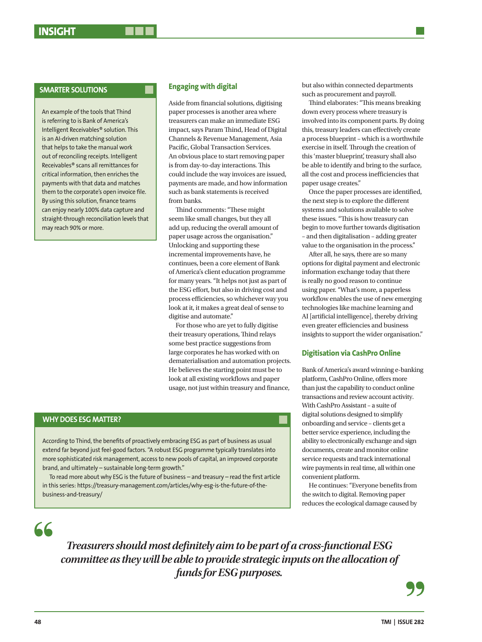An example of the tools that Thind is referring to is Bank of America's Intelligent Receivables® solution. This is an AI-driven matching solution that helps to take the manual work out of reconciling receipts. Intelligent Receivables® scans all remittances for critical information, then enriches the payments with that data and matches them to the corporate's open invoice file. By using this solution, finance teams can enjoy nearly 100% data capture and straight-through reconciliation levels that may reach 90% or more.

# **Engaging with digital**

Aside from financial solutions, digitising paper processes is another area where treasurers can make an immediate ESG impact, says Param Thind, Head of Digital Channels & Revenue Management, Asia Pacific, Global Transaction Services. An obvious place to start removing paper is from day-to-day interactions. This could include the way invoices are issued, payments are made, and how information such as bank statements is received from banks.

Thind comments: "These might seem like small changes, but they all add up, reducing the overall amount of paper usage across the organisation." Unlocking and supporting these incremental improvements have, he continues, been a core element of Bank of America's client education programme for many years. "It helps not just as part of the ESG effort, but also in driving cost and process efficiencies, so whichever way you look at it, it makes a great deal of sense to digitise and automate."

For those who are yet to fully digitise their treasury operations, Thind relays some best practice suggestions from large corporates he has worked with on dematerialisation and automation projects. He believes the starting point must be to look at all existing workflows and paper usage, not just within treasury and finance,

# **WHY DOES ESG MATTER?**

According to Thind, the benefits of proactively embracing ESG as part of business as usual extend far beyond just feel-good factors. "A robust ESG programme typically translates into more sophisticated risk management, access to new pools of capital, an improved corporate brand, and ultimately – sustainable long-term growth."

To read more about why ESG is the future of business – and treasury – read the first article in this series: https://treasury-management.com/articles/why-esg-is-the-future-of-thebusiness-and-treasury/

but also within connected departments such as procurement and payroll.

Thind elaborates: "This means breaking down every process where treasury is involved into its component parts. By doing this, treasury leaders can effectively create a process blueprint – which is a worthwhile exercise in itself. Through the creation of this 'master blueprint', treasury shall also be able to identify and bring to the surface, all the cost and process inefficiencies that paper usage creates."

Once the paper processes are identified, the next step is to explore the different systems and solutions available to solve these issues. "This is how treasury can begin to move further towards digitisation – and then digitalisation – adding greater value to the organisation in the process."

After all, he says, there are so many options for digital payment and electronic information exchange today that there is really no good reason to continue using paper. "What's more, a paperless workflow enables the use of new emerging technologies like machine learning and AI [artificial intelligence], thereby driving even greater efficiencies and business insights to support the wider organisation."

### **Digitisation via CashPro Online**

Bank of America's award winning e-banking platform, CashPro Online, offers more than just the capability to conduct online transactions and review account activity. With CashPro Assistant – a suite of digital solutions designed to simplify onboarding and service – clients get a better service experience, including the ability to electronically exchange and sign documents, create and monitor online service requests and track international wire payments in real time, all within one convenient platform.

He continues: "Everyone benefits from the switch to digital. Removing paper reduces the ecological damage caused by

 $66$ 

*Treasurers should most definitely aim to be part of a cross-functional ESG committee as they will be able to provide strategic inputs on the allocation of funds for ESG purposes.*